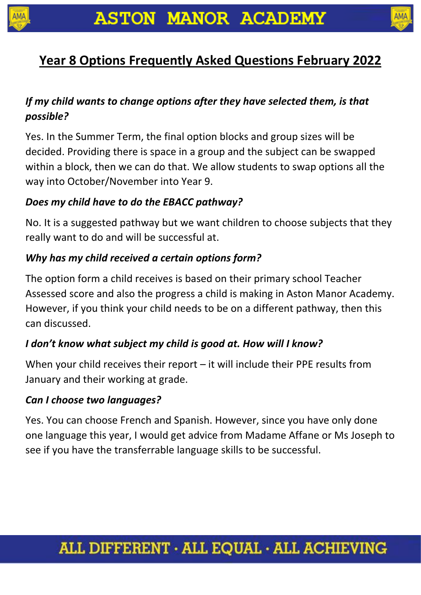



# **Year 8 Options Frequently Asked Questions February 2022**

### *If my child wants to change options after they have selected them, is that possible?*

Yes. In the Summer Term, the final option blocks and group sizes will be decided. Providing there is space in a group and the subject can be swapped within a block, then we can do that. We allow students to swap options all the way into October/November into Year 9.

#### *Does my child have to do the EBACC pathway?*

No. It is a suggested pathway but we want children to choose subjects that they really want to do and will be successful at.

### *Why has my child received a certain options form?*

The option form a child receives is based on their primary school Teacher Assessed score and also the progress a child is making in Aston Manor Academy. However, if you think your child needs to be on a different pathway, then this can discussed.

### *I don't know what subject my child is good at. How will I know?*

When your child receives their report – it will include their PPE results from January and their working at grade.

### *Can I choose two languages?*

Yes. You can choose French and Spanish. However, since you have only done one language this year, I would get advice from Madame Affane or Ms Joseph to see if you have the transferrable language skills to be successful.

# ALL DIFFERENT · ALL EQUAL · ALL ACHIEVING